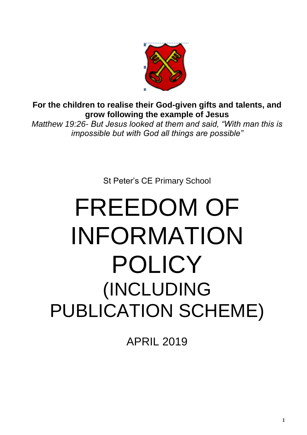

**For the children to realise their God-given gifts and talents, and grow following the example of Jesus** 

*Matthew 19:26- But Jesus looked at them and said, "With man this is impossible but with God all things are possible"* 

St Peter's CE Primary School

# FREEDOM OF INFORMATION POLICY (INCLUDING PUBLICATION SCHEME)

APRIL 2019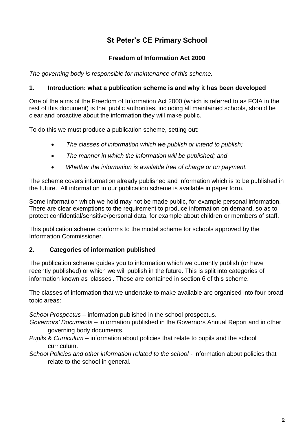# **St Peter's CE Primary School**

## **Freedom of Information Act 2000**

*The governing body is responsible for maintenance of this scheme.*

#### **1. Introduction: what a publication scheme is and why it has been developed**

One of the aims of the Freedom of Information Act 2000 (which is referred to as FOIA in the rest of this document) is that public authorities, including all maintained schools, should be clear and proactive about the information they will make public.

To do this we must produce a publication scheme, setting out:

- *The classes of information which we publish or intend to publish;*
- *The manner in which the information will be published; and*
- *Whether the information is available free of charge or on payment.*

The scheme covers information already published and information which is to be published in the future. All information in our publication scheme is available in paper form.

Some information which we hold may not be made public, for example personal information. There are clear exemptions to the requirement to produce information on demand, so as to protect confidential/sensitive/personal data, for example about children or members of staff.

This publication scheme conforms to the model scheme for schools approved by the Information Commissioner.

#### **2. Categories of information published**

The publication scheme guides you to information which we currently publish (or have recently published) or which we will publish in the future. This is split into categories of information known as 'classes'. These are contained in section 6 of this scheme.

The classes of information that we undertake to make available are organised into four broad topic areas:

*School Prospectus* – information published in the school prospectus.

- *Governors' Documents* information published in the Governors Annual Report and in other governing body documents.
- *Pupils & Curriculum* information about policies that relate to pupils and the school curriculum.
- *School Policies and other information related to the school* information about policies that relate to the school in general.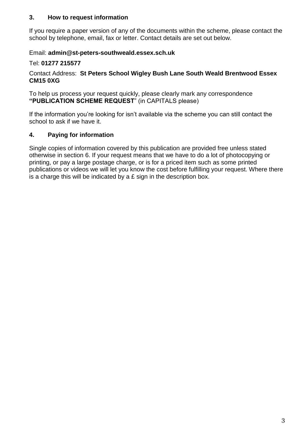#### **3. How to request information**

If you require a paper version of any of the documents within the scheme, please contact the school by telephone, email, fax or letter. Contact details are set out below.

#### Email: **admin@st-peters-southweald.essex.sch.uk**

#### Tel: **01277 215577**

#### Contact Address: **St Peters School Wigley Bush Lane South Weald Brentwood Essex CM15 0XG**

To help us process your request quickly, please clearly mark any correspondence **"PUBLICATION SCHEME REQUEST**" (in CAPITALS please)

If the information you're looking for isn't available via the scheme you can still contact the school to ask if we have it.

## **4. Paying for information**

Single copies of information covered by this publication are provided free unless stated otherwise in section 6. If your request means that we have to do a lot of photocopying or printing, or pay a large postage charge, or is for a priced item such as some printed publications or videos we will let you know the cost before fulfilling your request. Where there is a charge this will be indicated by a  $E$  sign in the description box.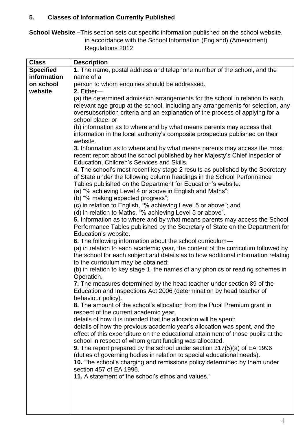# **5. Classes of Information Currently Published**

**School Website –**This section sets out specific information published on the school website, in accordance with the School Information (England) (Amendment) Regulations 2012

| <b>Class</b>     | <b>Description</b>                                                                |
|------------------|-----------------------------------------------------------------------------------|
| <b>Specified</b> | 1. The name, postal address and telephone number of the school, and the           |
| information      | name of a                                                                         |
| on school        | person to whom enquiries should be addressed.                                     |
|                  |                                                                                   |
| website          | 2. Either-                                                                        |
|                  | (a) the determined admission arrangements for the school in relation to each      |
|                  | relevant age group at the school, including any arrangements for selection, any   |
|                  | oversubscription criteria and an explanation of the process of applying for a     |
|                  | school place; or                                                                  |
|                  | (b) information as to where and by what means parents may access that             |
|                  |                                                                                   |
|                  | information in the local authority's composite prospectus published on their      |
|                  | website.                                                                          |
|                  | 3. Information as to where and by what means parents may access the most          |
|                  | recent report about the school published by her Majesty's Chief Inspector of      |
|                  | Education, Children's Services and Skills.                                        |
|                  |                                                                                   |
|                  | 4. The school's most recent key stage 2 results as published by the Secretary     |
|                  | of State under the following column headings in the School Performance            |
|                  | Tables published on the Department for Education's website:                       |
|                  | (a) "% achieving Level 4 or above in English and Maths";                          |
|                  | (b) "% making expected progress";                                                 |
|                  | (c) in relation to English, "% achieving Level 5 or above"; and                   |
|                  |                                                                                   |
|                  | (d) in relation to Maths, "% achieving Level 5 or above".                         |
|                  | 5. Information as to where and by what means parents may access the School        |
|                  | Performance Tables published by the Secretary of State on the Department for      |
|                  | Education's website.                                                              |
|                  | 6. The following information about the school curriculum-                         |
|                  |                                                                                   |
|                  | (a) in relation to each academic year, the content of the curriculum followed by  |
|                  | the school for each subject and details as to how additional information relating |
|                  | to the curriculum may be obtained;                                                |
|                  | (b) in relation to key stage 1, the names of any phonics or reading schemes in    |
|                  | Operation.                                                                        |
|                  | 7. The measures determined by the head teacher under section 89 of the            |
|                  | Education and Inspections Act 2006 (determination by head teacher of              |
|                  |                                                                                   |
|                  | behaviour policy).                                                                |
|                  | 8. The amount of the school's allocation from the Pupil Premium grant in          |
|                  | respect of the current academic year;                                             |
|                  | details of how it is intended that the allocation will be spent;                  |
|                  | details of how the previous academic year's allocation was spent, and the         |
|                  |                                                                                   |
|                  | effect of this expenditure on the educational attainment of those pupils at the   |
|                  | school in respect of whom grant funding was allocated.                            |
|                  | 9. The report prepared by the school under section 317(5)(a) of EA 1996           |
|                  | (duties of governing bodies in relation to special educational needs).            |
|                  | 10. The school's charging and remissions policy determined by them under          |
|                  | section 457 of EA 1996.                                                           |
|                  |                                                                                   |
|                  | 11. A statement of the school's ethos and values."                                |
|                  |                                                                                   |
|                  |                                                                                   |
|                  |                                                                                   |
|                  |                                                                                   |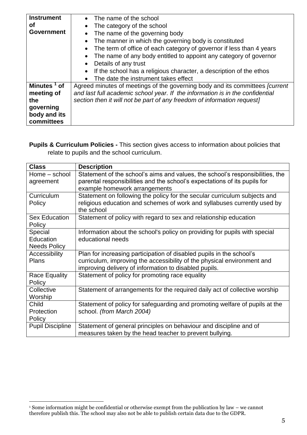| <b>Instrument</b><br>Οf<br><b>Government</b>                                            | The name of the school<br>$\bullet$<br>The category of the school<br>$\bullet$<br>The name of the governing body<br>The manner in which the governing body is constituted<br>$\bullet$<br>The term of office of each category of governor if less than 4 years<br>$\bullet$<br>The name of any body entitled to appoint any category of governor<br>Details of any trust |
|-----------------------------------------------------------------------------------------|--------------------------------------------------------------------------------------------------------------------------------------------------------------------------------------------------------------------------------------------------------------------------------------------------------------------------------------------------------------------------|
|                                                                                         | If the school has a religious character, a description of the ethos<br>The date the instrument takes effect                                                                                                                                                                                                                                                              |
| Minutes <sup>1</sup> of<br>meeting of<br>the<br>governing<br>body and its<br>committees | Agreed minutes of meetings of the governing body and its committees <i>[current</i> ]<br>and last full academic school year. If the information is in the confidential<br>section then it will not be part of any freedom of information request]                                                                                                                        |

**Pupils & Curriculum Policies -** This section gives access to information about policies that relate to pupils and the school curriculum.

| <b>Class</b>            | <b>Description</b>                                                            |
|-------------------------|-------------------------------------------------------------------------------|
| Home - school           | Statement of the school's aims and values, the school's responsibilities, the |
| agreement               | parental responsibilities and the school's expectations of its pupils for     |
|                         | example homework arrangements                                                 |
| Curriculum              | Statement on following the policy for the secular curriculum subjects and     |
| Policy                  | religious education and schemes of work and syllabuses currently used by      |
|                         | the school                                                                    |
| <b>Sex Education</b>    | Statement of policy with regard to sex and relationship education             |
| Policy                  |                                                                               |
| Special                 | Information about the school's policy on providing for pupils with special    |
| Education               | educational needs                                                             |
| <b>Needs Policy</b>     |                                                                               |
| Accessibility           | Plan for increasing participation of disabled pupils in the school's          |
| <b>Plans</b>            | curriculum, improving the accessibility of the physical environment and       |
|                         | improving delivery of information to disabled pupils.                         |
| <b>Race Equality</b>    | Statement of policy for promoting race equality                               |
| Policy                  |                                                                               |
| Collective              | Statement of arrangements for the required daily act of collective worship    |
| Worship                 |                                                                               |
| Child                   | Statement of policy for safeguarding and promoting welfare of pupils at the   |
| Protection              | school. (from March 2004)                                                     |
| Policy                  |                                                                               |
| <b>Pupil Discipline</b> | Statement of general principles on behaviour and discipline and of            |
|                         | measures taken by the head teacher to prevent bullying.                       |

<sup>&</sup>lt;u>.</u> <sup>1</sup> Some information might be confidential or otherwise exempt from the publication by law – we cannot therefore publish this. The school may also not be able to publish certain data due to the GDPR.